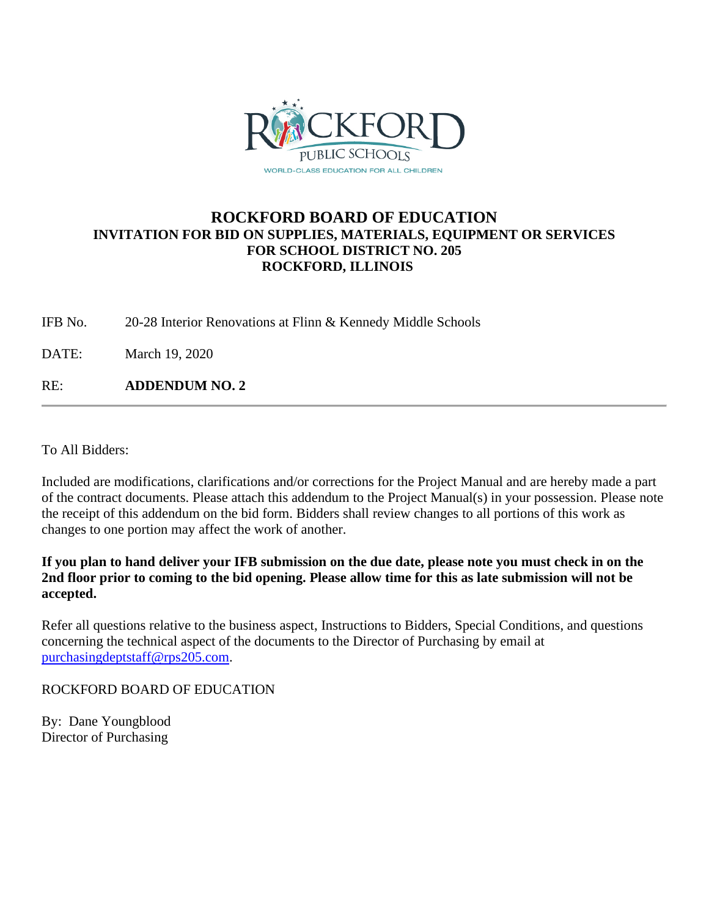

## **ROCKFORD BOARD OF EDUCATION INVITATION FOR BID ON SUPPLIES, MATERIALS, EQUIPMENT OR SERVICES FOR SCHOOL DISTRICT NO. 205 ROCKFORD, ILLINOIS**

IFB No. 20-28 Interior Renovations at Flinn & Kennedy Middle Schools

DATE: March 19, 2020

RE: **ADDENDUM NO. 2**

To All Bidders:

Included are modifications, clarifications and/or corrections for the Project Manual and are hereby made a part of the contract documents. Please attach this addendum to the Project Manual(s) in your possession. Please note the receipt of this addendum on the bid form. Bidders shall review changes to all portions of this work as changes to one portion may affect the work of another.

**If you plan to hand deliver your IFB submission on the due date, please note you must check in on the 2nd floor prior to coming to the bid opening. Please allow time for this as late submission will not be accepted.**

Refer all questions relative to the business aspect, Instructions to Bidders, Special Conditions, and questions concerning the technical aspect of the documents to the Director of Purchasing by email at [purchasingdeptstaff@rps205.com.](mailto:purchasingdeptstaff@rps205.com)

ROCKFORD BOARD OF EDUCATION

By: Dane Youngblood Director of Purchasing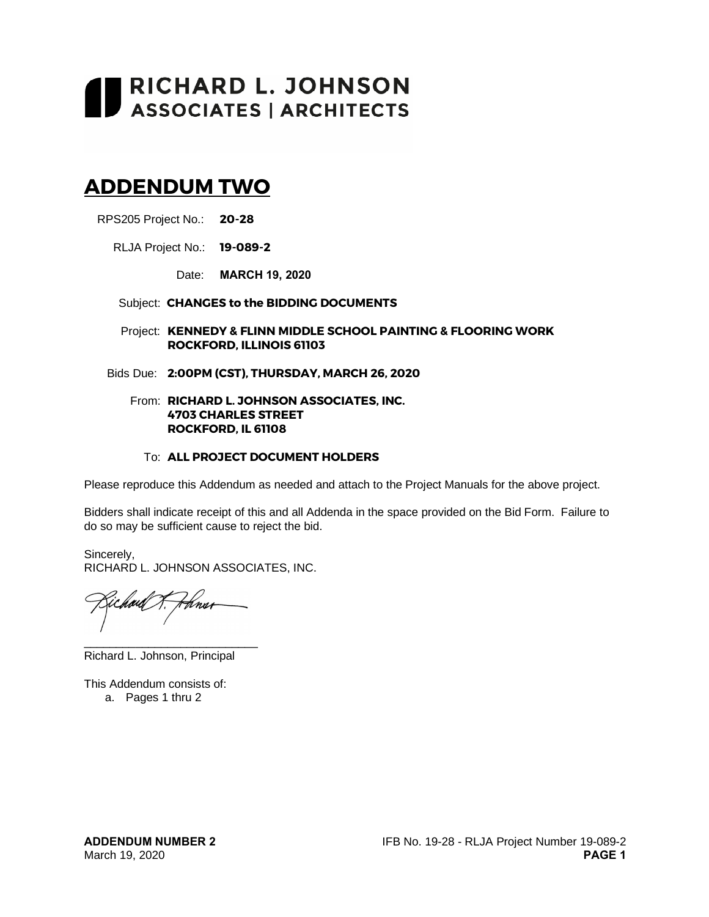# RICHARD L. JOHNSON<br>ASSOCIATES | ARCHITECTS

# **ADDENDUM TWO**

RPS205 Project No.: **20-28**

RLJA Project No.: **19-089-2**

Date: **MARCH 19, 2020**

#### Subject: **CHANGES to the BIDDING DOCUMENTS**

- Project: **KENNEDY & FLINN MIDDLE SCHOOL PAINTING & FLOORING WORK ROCKFORD, ILLINOIS 61103**
- Bids Due: **2:00PM (CST), THURSDAY, MARCH 26, 2020**

#### From: **RICHARD L. JOHNSON ASSOCIATES, INC. 4703 CHARLES STREET ROCKFORD, IL 61108**

#### To: **ALL PROJECT DOCUMENT HOLDERS**

Please reproduce this Addendum as needed and attach to the Project Manuals for the above project.

Bidders shall indicate receipt of this and all Addenda in the space provided on the Bid Form. Failure to do so may be sufficient cause to reject the bid.

Sincerely, RICHARD L. JOHNSON ASSOCIATES, INC.

Hnur rais \_\_\_\_\_\_\_\_\_\_\_\_\_\_\_\_\_\_\_\_\_\_\_\_\_\_\_

Richard L. Johnson, Principal

This Addendum consists of:

a. Pages 1 thru 2